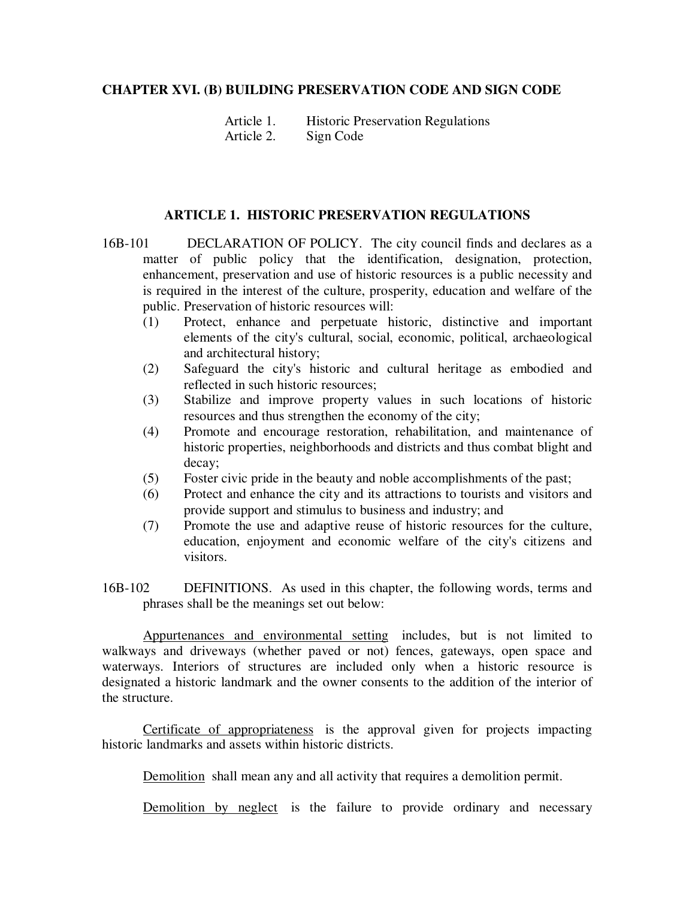#### **CHAPTER XVI. (B) BUILDING PRESERVATION CODE AND SIGN CODE**

Article 1. Historic Preservation Regulations Article 2. Sign Code

### **ARTICLE 1. HISTORIC PRESERVATION REGULATIONS**

- 16B-101 DECLARATION OF POLICY. The city council finds and declares as a matter of public policy that the identification, designation, protection, enhancement, preservation and use of historic resources is a public necessity and is required in the interest of the culture, prosperity, education and welfare of the public. Preservation of historic resources will:
	- (1) Protect, enhance and perpetuate historic, distinctive and important elements of the city's cultural, social, economic, political, archaeological and architectural history;
	- (2) Safeguard the city's historic and cultural heritage as embodied and reflected in such historic resources;
	- (3) Stabilize and improve property values in such locations of historic resources and thus strengthen the economy of the city;
	- (4) Promote and encourage restoration, rehabilitation, and maintenance of historic properties, neighborhoods and districts and thus combat blight and decay;
	- (5) Foster civic pride in the beauty and noble accomplishments of the past;
	- (6) Protect and enhance the city and its attractions to tourists and visitors and provide support and stimulus to business and industry; and
	- (7) Promote the use and adaptive reuse of historic resources for the culture, education, enjoyment and economic welfare of the city's citizens and visitors.
- 16B-102 DEFINITIONS. As used in this chapter, the following words, terms and phrases shall be the meanings set out below:

Appurtenances and environmental setting includes, but is not limited to walkways and driveways (whether paved or not) fences, gateways, open space and waterways. Interiors of structures are included only when a historic resource is designated a historic landmark and the owner consents to the addition of the interior of the structure.

Certificate of appropriateness is the approval given for projects impacting historic landmarks and assets within historic districts.

Demolition shall mean any and all activity that requires a demolition permit.

Demolition by neglect is the failure to provide ordinary and necessary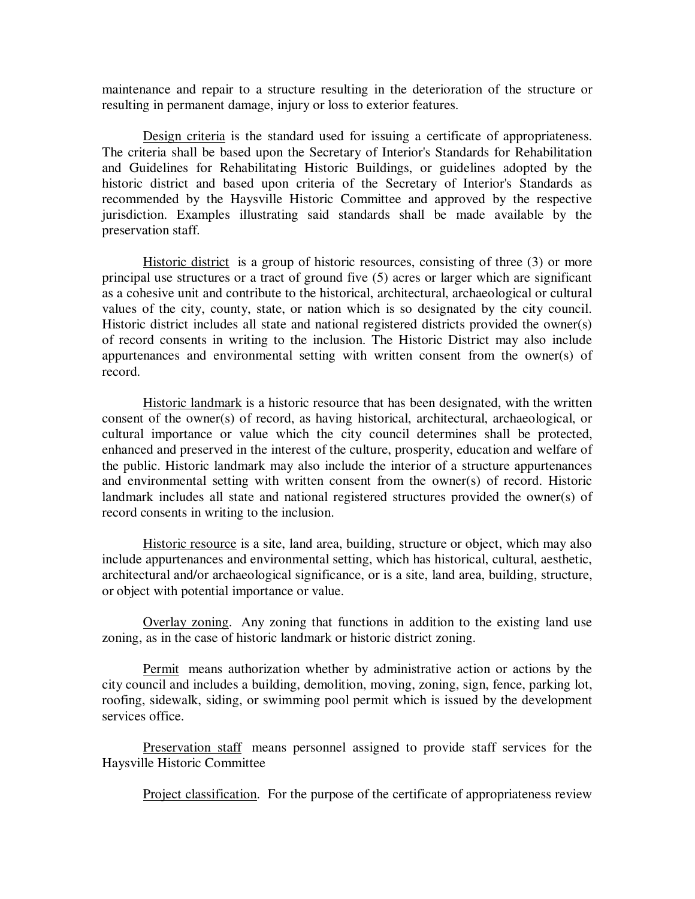maintenance and repair to a structure resulting in the deterioration of the structure or resulting in permanent damage, injury or loss to exterior features.

Design criteria is the standard used for issuing a certificate of appropriateness. The criteria shall be based upon the Secretary of Interior's Standards for Rehabilitation and Guidelines for Rehabilitating Historic Buildings, or guidelines adopted by the historic district and based upon criteria of the Secretary of Interior's Standards as recommended by the Haysville Historic Committee and approved by the respective jurisdiction. Examples illustrating said standards shall be made available by the preservation staff.

Historic district is a group of historic resources, consisting of three (3) or more principal use structures or a tract of ground five (5) acres or larger which are significant as a cohesive unit and contribute to the historical, architectural, archaeological or cultural values of the city, county, state, or nation which is so designated by the city council. Historic district includes all state and national registered districts provided the owner(s) of record consents in writing to the inclusion. The Historic District may also include appurtenances and environmental setting with written consent from the owner(s) of record.

Historic landmark is a historic resource that has been designated, with the written consent of the owner(s) of record, as having historical, architectural, archaeological, or cultural importance or value which the city council determines shall be protected, enhanced and preserved in the interest of the culture, prosperity, education and welfare of the public. Historic landmark may also include the interior of a structure appurtenances and environmental setting with written consent from the owner(s) of record. Historic landmark includes all state and national registered structures provided the owner(s) of record consents in writing to the inclusion.

Historic resource is a site, land area, building, structure or object, which may also include appurtenances and environmental setting, which has historical, cultural, aesthetic, architectural and/or archaeological significance, or is a site, land area, building, structure, or object with potential importance or value.

Overlay zoning. Any zoning that functions in addition to the existing land use zoning, as in the case of historic landmark or historic district zoning.

Permit means authorization whether by administrative action or actions by the city council and includes a building, demolition, moving, zoning, sign, fence, parking lot, roofing, sidewalk, siding, or swimming pool permit which is issued by the development services office.

Preservation staff means personnel assigned to provide staff services for the Haysville Historic Committee

Project classification. For the purpose of the certificate of appropriateness review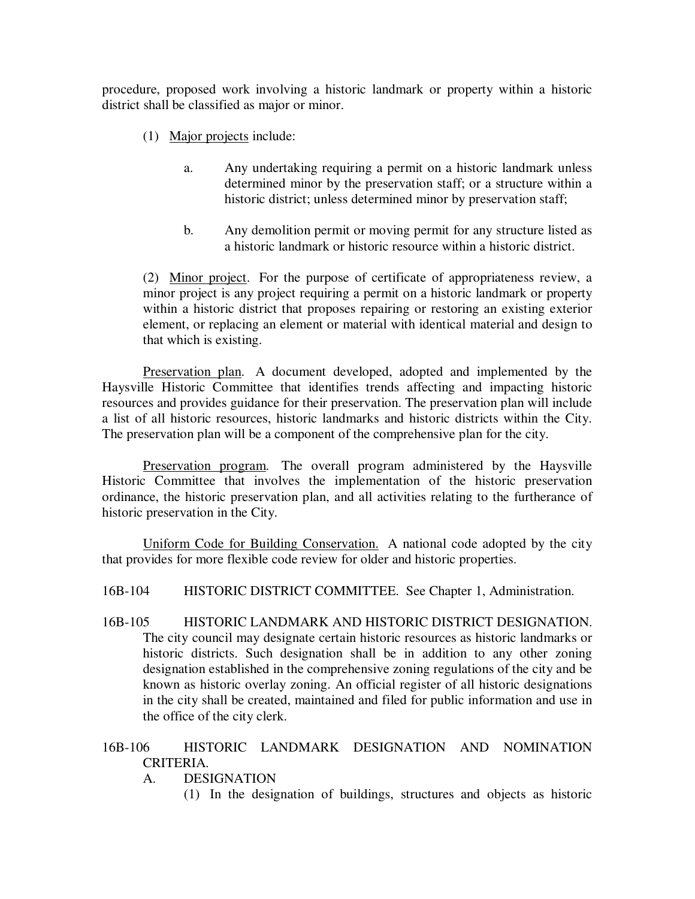procedure, proposed work involving a historic landmark or property within a historic district shall be classified as major or minor.

- (1) Major projects include:
	- a. Any undertaking requiring a permit on a historic landmark unless determined minor by the preservation staff; or a structure within a historic district; unless determined minor by preservation staff;
	- b. Any demolition permit or moving permit for any structure listed as a historic landmark or historic resource within a historic district.

(2) Minor project. For the purpose of certificate of appropriateness review, a minor project is any project requiring a permit on a historic landmark or property within a historic district that proposes repairing or restoring an existing exterior element, or replacing an element or material with identical material and design to that which is existing.

Preservation plan. A document developed, adopted and implemented by the Haysville Historic Committee that identifies trends affecting and impacting historic resources and provides guidance for their preservation. The preservation plan will include a list of all historic resources, historic landmarks and historic districts within the City. The preservation plan will be a component of the comprehensive plan for the city.

Preservation program. The overall program administered by the Haysville Historic Committee that involves the implementation of the historic preservation ordinance, the historic preservation plan, and all activities relating to the furtherance of historic preservation in the City.

Uniform Code for Building Conservation. A national code adopted by the city that provides for more flexible code review for older and historic properties.

- 16B-104 HISTORIC DISTRICT COMMITTEE. See Chapter 1, Administration.
- 16B-105 HISTORIC LANDMARK AND HISTORIC DISTRICT DESIGNATION. The city council may designate certain historic resources as historic landmarks or historic districts. Such designation shall be in addition to any other zoning designation established in the comprehensive zoning regulations of the city and be known as historic overlay zoning. An official register of all historic designations in the city shall be created, maintained and filed for public information and use in the office of the city clerk.

# 16B-106 HISTORIC LANDMARK DESIGNATION AND NOMINATION CRITERIA.

## A. DESIGNATION

(1) In the designation of buildings, structures and objects as historic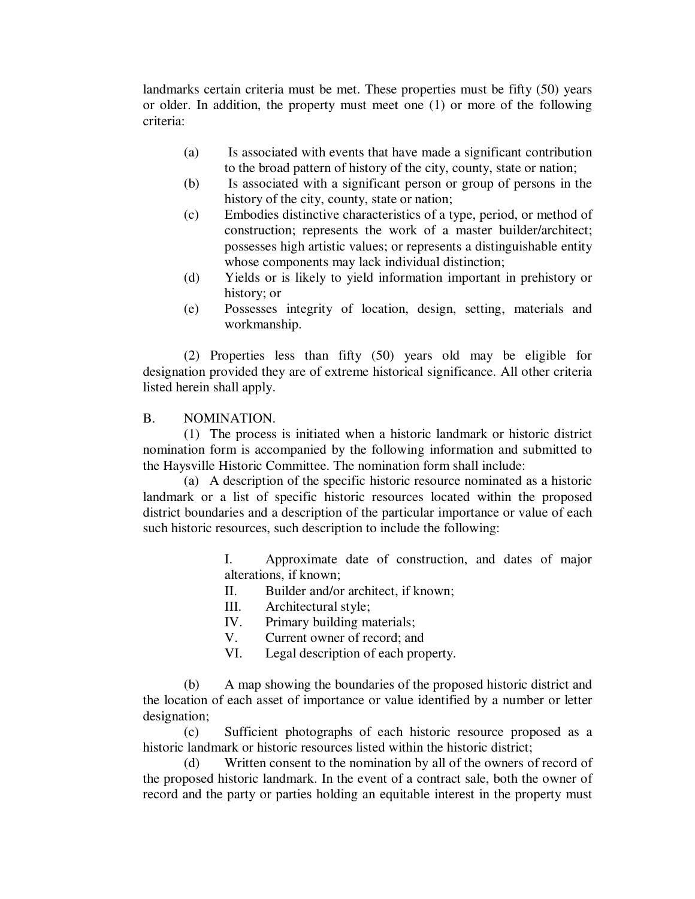landmarks certain criteria must be met. These properties must be fifty (50) years or older. In addition, the property must meet one (1) or more of the following criteria:

- (a) Is associated with events that have made a significant contribution to the broad pattern of history of the city, county, state or nation;
- (b) Is associated with a significant person or group of persons in the history of the city, county, state or nation;
- (c) Embodies distinctive characteristics of a type, period, or method of construction; represents the work of a master builder/architect; possesses high artistic values; or represents a distinguishable entity whose components may lack individual distinction;
- (d) Yields or is likely to yield information important in prehistory or history; or
- (e) Possesses integrity of location, design, setting, materials and workmanship.

(2) Properties less than fifty (50) years old may be eligible for designation provided they are of extreme historical significance. All other criteria listed herein shall apply.

## B. NOMINATION.

(1) The process is initiated when a historic landmark or historic district nomination form is accompanied by the following information and submitted to the Haysville Historic Committee. The nomination form shall include:

(a) A description of the specific historic resource nominated as a historic landmark or a list of specific historic resources located within the proposed district boundaries and a description of the particular importance or value of each such historic resources, such description to include the following:

> I. Approximate date of construction, and dates of major alterations, if known;

- II. Builder and/or architect, if known;
- III. Architectural style;
- IV. Primary building materials;
- V. Current owner of record; and
- VI. Legal description of each property.

(b) A map showing the boundaries of the proposed historic district and the location of each asset of importance or value identified by a number or letter designation;

(c) Sufficient photographs of each historic resource proposed as a historic landmark or historic resources listed within the historic district;

(d) Written consent to the nomination by all of the owners of record of the proposed historic landmark. In the event of a contract sale, both the owner of record and the party or parties holding an equitable interest in the property must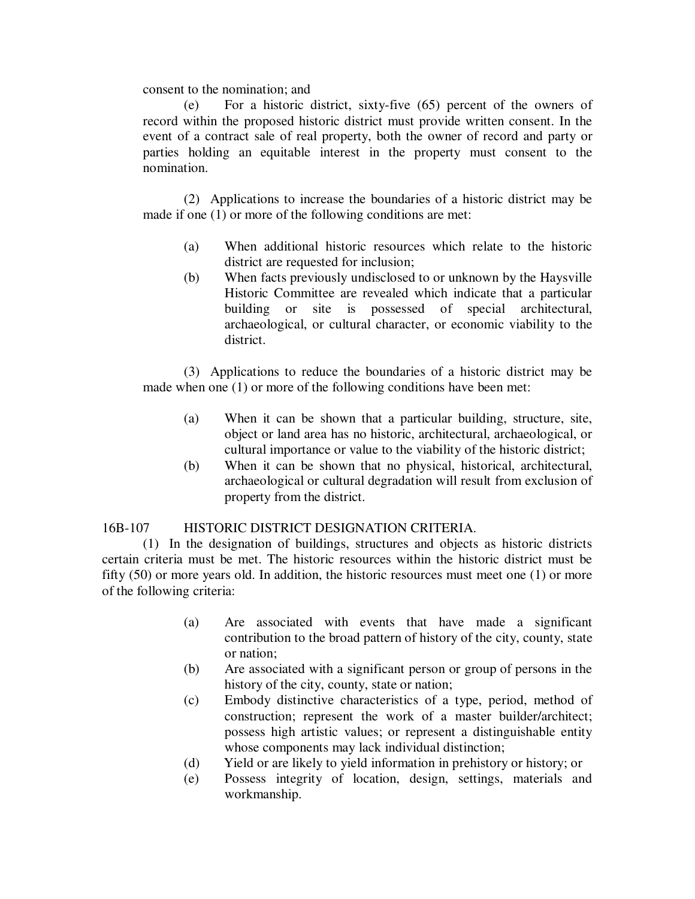consent to the nomination; and

(e) For a historic district, sixty-five (65) percent of the owners of record within the proposed historic district must provide written consent. In the event of a contract sale of real property, both the owner of record and party or parties holding an equitable interest in the property must consent to the nomination.

(2) Applications to increase the boundaries of a historic district may be made if one (1) or more of the following conditions are met:

- (a) When additional historic resources which relate to the historic district are requested for inclusion;
- (b) When facts previously undisclosed to or unknown by the Haysville Historic Committee are revealed which indicate that a particular building or site is possessed of special architectural, archaeological, or cultural character, or economic viability to the district.

(3) Applications to reduce the boundaries of a historic district may be made when one (1) or more of the following conditions have been met:

- (a) When it can be shown that a particular building, structure, site, object or land area has no historic, architectural, archaeological, or cultural importance or value to the viability of the historic district;
- (b) When it can be shown that no physical, historical, architectural, archaeological or cultural degradation will result from exclusion of property from the district.

#### 16B-107 HISTORIC DISTRICT DESIGNATION CRITERIA.

(1) In the designation of buildings, structures and objects as historic districts certain criteria must be met. The historic resources within the historic district must be fifty (50) or more years old. In addition, the historic resources must meet one (1) or more of the following criteria:

- (a) Are associated with events that have made a significant contribution to the broad pattern of history of the city, county, state or nation;
- (b) Are associated with a significant person or group of persons in the history of the city, county, state or nation;
- (c) Embody distinctive characteristics of a type, period, method of construction; represent the work of a master builder/architect; possess high artistic values; or represent a distinguishable entity whose components may lack individual distinction;
- (d) Yield or are likely to yield information in prehistory or history; or
- (e) Possess integrity of location, design, settings, materials and workmanship.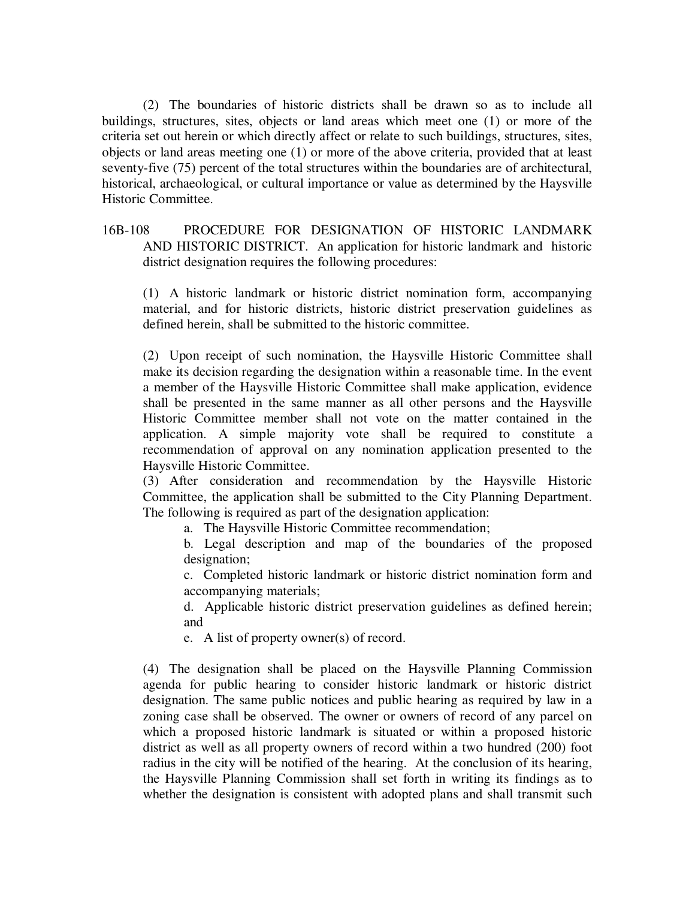(2) The boundaries of historic districts shall be drawn so as to include all buildings, structures, sites, objects or land areas which meet one (1) or more of the criteria set out herein or which directly affect or relate to such buildings, structures, sites, objects or land areas meeting one (1) or more of the above criteria, provided that at least seventy-five (75) percent of the total structures within the boundaries are of architectural, historical, archaeological, or cultural importance or value as determined by the Haysville Historic Committee.

# 16B-108 PROCEDURE FOR DESIGNATION OF HISTORIC LANDMARK AND HISTORIC DISTRICT. An application for historic landmark and historic district designation requires the following procedures:

(1) A historic landmark or historic district nomination form, accompanying material, and for historic districts, historic district preservation guidelines as defined herein, shall be submitted to the historic committee.

(2) Upon receipt of such nomination, the Haysville Historic Committee shall make its decision regarding the designation within a reasonable time. In the event a member of the Haysville Historic Committee shall make application, evidence shall be presented in the same manner as all other persons and the Haysville Historic Committee member shall not vote on the matter contained in the application. A simple majority vote shall be required to constitute a recommendation of approval on any nomination application presented to the Haysville Historic Committee.

(3) After consideration and recommendation by the Haysville Historic Committee, the application shall be submitted to the City Planning Department. The following is required as part of the designation application:

a. The Haysville Historic Committee recommendation;

b. Legal description and map of the boundaries of the proposed designation;

c. Completed historic landmark or historic district nomination form and accompanying materials;

d. Applicable historic district preservation guidelines as defined herein; and

e. A list of property owner(s) of record.

(4) The designation shall be placed on the Haysville Planning Commission agenda for public hearing to consider historic landmark or historic district designation. The same public notices and public hearing as required by law in a zoning case shall be observed. The owner or owners of record of any parcel on which a proposed historic landmark is situated or within a proposed historic district as well as all property owners of record within a two hundred (200) foot radius in the city will be notified of the hearing. At the conclusion of its hearing, the Haysville Planning Commission shall set forth in writing its findings as to whether the designation is consistent with adopted plans and shall transmit such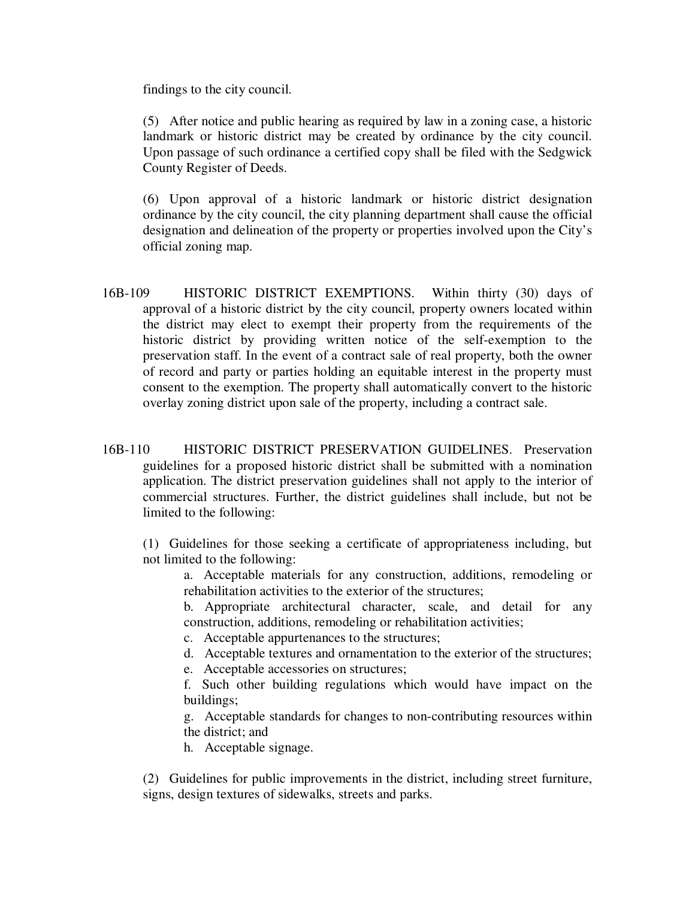findings to the city council.

(5) After notice and public hearing as required by law in a zoning case, a historic landmark or historic district may be created by ordinance by the city council. Upon passage of such ordinance a certified copy shall be filed with the Sedgwick County Register of Deeds.

(6) Upon approval of a historic landmark or historic district designation ordinance by the city council, the city planning department shall cause the official designation and delineation of the property or properties involved upon the City's official zoning map.

- 16B-109 HISTORIC DISTRICT EXEMPTIONS. Within thirty (30) days of approval of a historic district by the city council, property owners located within the district may elect to exempt their property from the requirements of the historic district by providing written notice of the self-exemption to the preservation staff. In the event of a contract sale of real property, both the owner of record and party or parties holding an equitable interest in the property must consent to the exemption. The property shall automatically convert to the historic overlay zoning district upon sale of the property, including a contract sale.
- 16B-110 HISTORIC DISTRICT PRESERVATION GUIDELINES. Preservation guidelines for a proposed historic district shall be submitted with a nomination application. The district preservation guidelines shall not apply to the interior of commercial structures. Further, the district guidelines shall include, but not be limited to the following:

(1) Guidelines for those seeking a certificate of appropriateness including, but not limited to the following:

a. Acceptable materials for any construction, additions, remodeling or rehabilitation activities to the exterior of the structures;

b. Appropriate architectural character, scale, and detail for any construction, additions, remodeling or rehabilitation activities;

c. Acceptable appurtenances to the structures;

- d. Acceptable textures and ornamentation to the exterior of the structures;
- e. Acceptable accessories on structures;

f. Such other building regulations which would have impact on the buildings;

g. Acceptable standards for changes to non-contributing resources within the district; and

h. Acceptable signage.

(2) Guidelines for public improvements in the district, including street furniture, signs, design textures of sidewalks, streets and parks.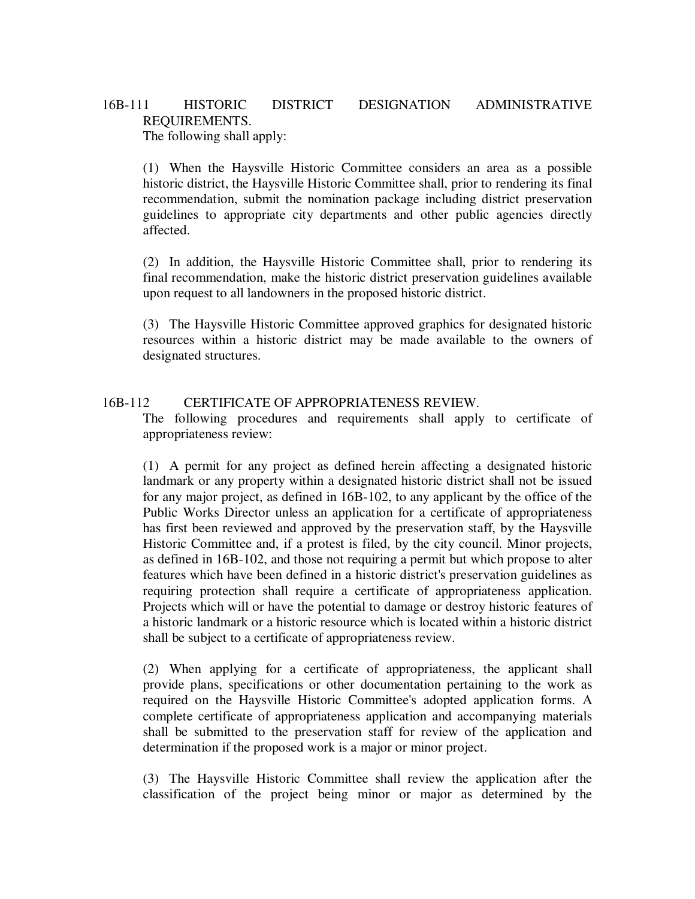## 16B-111 HISTORIC DISTRICT DESIGNATION ADMINISTRATIVE REQUIREMENTS. The following shall apply:

(1) When the Haysville Historic Committee considers an area as a possible historic district, the Haysville Historic Committee shall, prior to rendering its final recommendation, submit the nomination package including district preservation guidelines to appropriate city departments and other public agencies directly affected.

(2) In addition, the Haysville Historic Committee shall, prior to rendering its final recommendation, make the historic district preservation guidelines available upon request to all landowners in the proposed historic district.

(3) The Haysville Historic Committee approved graphics for designated historic resources within a historic district may be made available to the owners of designated structures.

#### 16B-112 CERTIFICATE OF APPROPRIATENESS REVIEW.

The following procedures and requirements shall apply to certificate of appropriateness review:

(1) A permit for any project as defined herein affecting a designated historic landmark or any property within a designated historic district shall not be issued for any major project, as defined in 16B-102, to any applicant by the office of the Public Works Director unless an application for a certificate of appropriateness has first been reviewed and approved by the preservation staff, by the Haysville Historic Committee and, if a protest is filed, by the city council. Minor projects, as defined in 16B-102, and those not requiring a permit but which propose to alter features which have been defined in a historic district's preservation guidelines as requiring protection shall require a certificate of appropriateness application. Projects which will or have the potential to damage or destroy historic features of a historic landmark or a historic resource which is located within a historic district shall be subject to a certificate of appropriateness review.

(2) When applying for a certificate of appropriateness, the applicant shall provide plans, specifications or other documentation pertaining to the work as required on the Haysville Historic Committee's adopted application forms. A complete certificate of appropriateness application and accompanying materials shall be submitted to the preservation staff for review of the application and determination if the proposed work is a major or minor project.

(3) The Haysville Historic Committee shall review the application after the classification of the project being minor or major as determined by the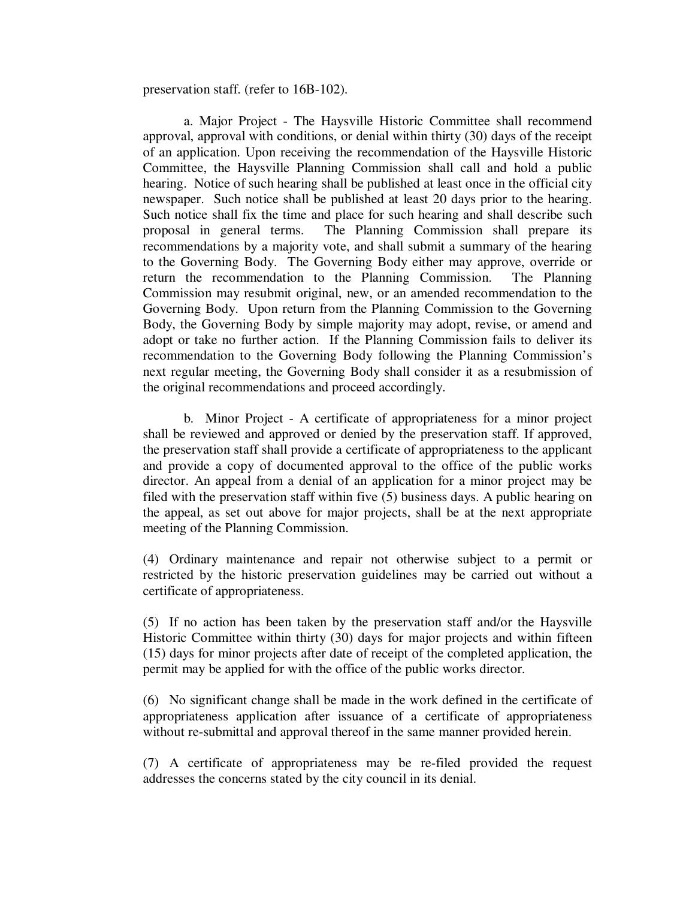preservation staff. (refer to 16B-102).

a. Major Project - The Haysville Historic Committee shall recommend approval, approval with conditions, or denial within thirty (30) days of the receipt of an application. Upon receiving the recommendation of the Haysville Historic Committee, the Haysville Planning Commission shall call and hold a public hearing. Notice of such hearing shall be published at least once in the official city newspaper. Such notice shall be published at least 20 days prior to the hearing. Such notice shall fix the time and place for such hearing and shall describe such proposal in general terms. The Planning Commission shall prepare its recommendations by a majority vote, and shall submit a summary of the hearing to the Governing Body. The Governing Body either may approve, override or return the recommendation to the Planning Commission. The Planning Commission may resubmit original, new, or an amended recommendation to the Governing Body. Upon return from the Planning Commission to the Governing Body, the Governing Body by simple majority may adopt, revise, or amend and adopt or take no further action. If the Planning Commission fails to deliver its recommendation to the Governing Body following the Planning Commission's next regular meeting, the Governing Body shall consider it as a resubmission of the original recommendations and proceed accordingly.

b. Minor Project - A certificate of appropriateness for a minor project shall be reviewed and approved or denied by the preservation staff. If approved, the preservation staff shall provide a certificate of appropriateness to the applicant and provide a copy of documented approval to the office of the public works director. An appeal from a denial of an application for a minor project may be filed with the preservation staff within five (5) business days. A public hearing on the appeal, as set out above for major projects, shall be at the next appropriate meeting of the Planning Commission.

(4) Ordinary maintenance and repair not otherwise subject to a permit or restricted by the historic preservation guidelines may be carried out without a certificate of appropriateness.

(5) If no action has been taken by the preservation staff and/or the Haysville Historic Committee within thirty (30) days for major projects and within fifteen (15) days for minor projects after date of receipt of the completed application, the permit may be applied for with the office of the public works director.

(6) No significant change shall be made in the work defined in the certificate of appropriateness application after issuance of a certificate of appropriateness without re-submittal and approval thereof in the same manner provided herein.

(7) A certificate of appropriateness may be re-filed provided the request addresses the concerns stated by the city council in its denial.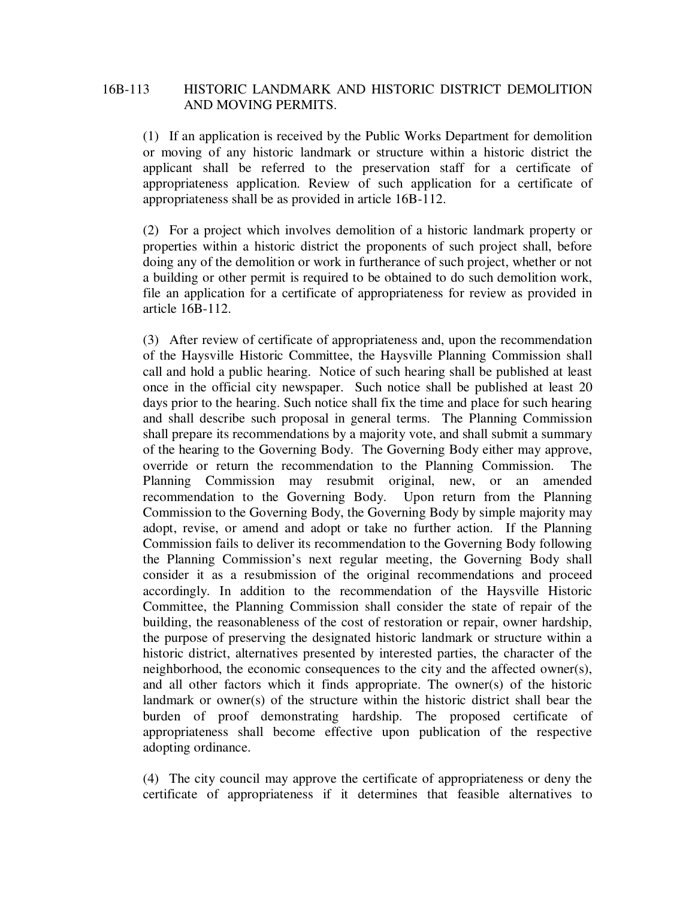# 16B-113 HISTORIC LANDMARK AND HISTORIC DISTRICT DEMOLITION AND MOVING PERMITS.

(1) If an application is received by the Public Works Department for demolition or moving of any historic landmark or structure within a historic district the applicant shall be referred to the preservation staff for a certificate of appropriateness application. Review of such application for a certificate of appropriateness shall be as provided in article 16B-112.

(2) For a project which involves demolition of a historic landmark property or properties within a historic district the proponents of such project shall, before doing any of the demolition or work in furtherance of such project, whether or not a building or other permit is required to be obtained to do such demolition work, file an application for a certificate of appropriateness for review as provided in article 16B-112.

(3) After review of certificate of appropriateness and, upon the recommendation of the Haysville Historic Committee, the Haysville Planning Commission shall call and hold a public hearing. Notice of such hearing shall be published at least once in the official city newspaper. Such notice shall be published at least 20 days prior to the hearing. Such notice shall fix the time and place for such hearing and shall describe such proposal in general terms. The Planning Commission shall prepare its recommendations by a majority vote, and shall submit a summary of the hearing to the Governing Body. The Governing Body either may approve, override or return the recommendation to the Planning Commission. The Planning Commission may resubmit original, new, or an amended recommendation to the Governing Body. Upon return from the Planning Commission to the Governing Body, the Governing Body by simple majority may adopt, revise, or amend and adopt or take no further action. If the Planning Commission fails to deliver its recommendation to the Governing Body following the Planning Commission's next regular meeting, the Governing Body shall consider it as a resubmission of the original recommendations and proceed accordingly. In addition to the recommendation of the Haysville Historic Committee, the Planning Commission shall consider the state of repair of the building, the reasonableness of the cost of restoration or repair, owner hardship, the purpose of preserving the designated historic landmark or structure within a historic district, alternatives presented by interested parties, the character of the neighborhood, the economic consequences to the city and the affected owner(s), and all other factors which it finds appropriate. The owner(s) of the historic landmark or owner(s) of the structure within the historic district shall bear the burden of proof demonstrating hardship. The proposed certificate of appropriateness shall become effective upon publication of the respective adopting ordinance.

(4) The city council may approve the certificate of appropriateness or deny the certificate of appropriateness if it determines that feasible alternatives to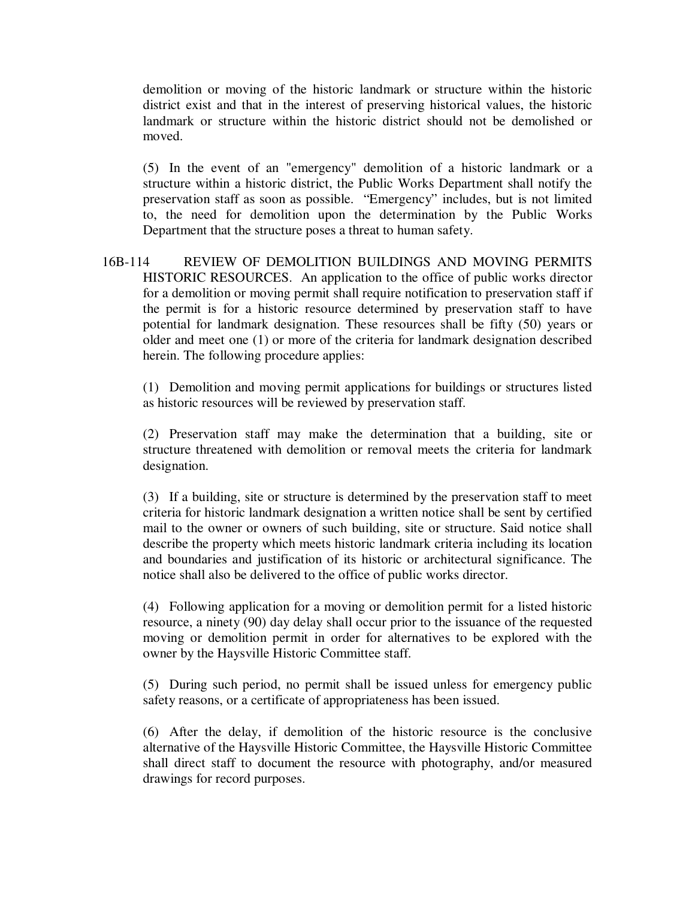demolition or moving of the historic landmark or structure within the historic district exist and that in the interest of preserving historical values, the historic landmark or structure within the historic district should not be demolished or moved.

(5) In the event of an "emergency" demolition of a historic landmark or a structure within a historic district, the Public Works Department shall notify the preservation staff as soon as possible. "Emergency" includes, but is not limited to, the need for demolition upon the determination by the Public Works Department that the structure poses a threat to human safety.

16B-114 REVIEW OF DEMOLITION BUILDINGS AND MOVING PERMITS HISTORIC RESOURCES. An application to the office of public works director for a demolition or moving permit shall require notification to preservation staff if the permit is for a historic resource determined by preservation staff to have potential for landmark designation. These resources shall be fifty (50) years or older and meet one (1) or more of the criteria for landmark designation described herein. The following procedure applies:

(1) Demolition and moving permit applications for buildings or structures listed as historic resources will be reviewed by preservation staff.

(2) Preservation staff may make the determination that a building, site or structure threatened with demolition or removal meets the criteria for landmark designation.

(3) If a building, site or structure is determined by the preservation staff to meet criteria for historic landmark designation a written notice shall be sent by certified mail to the owner or owners of such building, site or structure. Said notice shall describe the property which meets historic landmark criteria including its location and boundaries and justification of its historic or architectural significance. The notice shall also be delivered to the office of public works director.

(4) Following application for a moving or demolition permit for a listed historic resource, a ninety (90) day delay shall occur prior to the issuance of the requested moving or demolition permit in order for alternatives to be explored with the owner by the Haysville Historic Committee staff.

(5) During such period, no permit shall be issued unless for emergency public safety reasons, or a certificate of appropriateness has been issued.

(6) After the delay, if demolition of the historic resource is the conclusive alternative of the Haysville Historic Committee, the Haysville Historic Committee shall direct staff to document the resource with photography, and/or measured drawings for record purposes.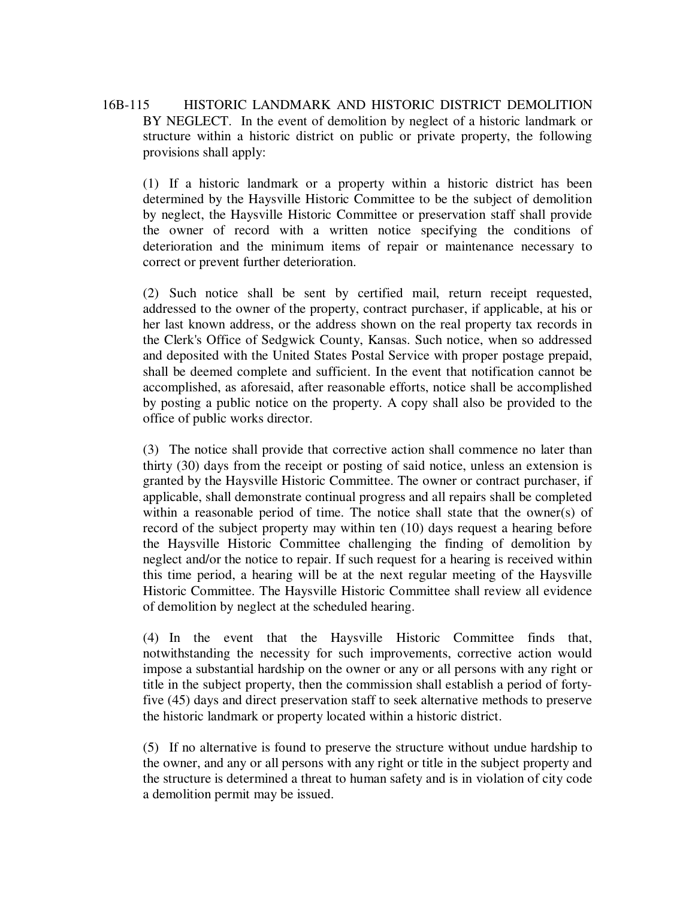# 16B-115 HISTORIC LANDMARK AND HISTORIC DISTRICT DEMOLITION BY NEGLECT. In the event of demolition by neglect of a historic landmark or structure within a historic district on public or private property, the following provisions shall apply:

(1) If a historic landmark or a property within a historic district has been determined by the Haysville Historic Committee to be the subject of demolition by neglect, the Haysville Historic Committee or preservation staff shall provide the owner of record with a written notice specifying the conditions of deterioration and the minimum items of repair or maintenance necessary to correct or prevent further deterioration.

(2) Such notice shall be sent by certified mail, return receipt requested, addressed to the owner of the property, contract purchaser, if applicable, at his or her last known address, or the address shown on the real property tax records in the Clerk's Office of Sedgwick County, Kansas. Such notice, when so addressed and deposited with the United States Postal Service with proper postage prepaid, shall be deemed complete and sufficient. In the event that notification cannot be accomplished, as aforesaid, after reasonable efforts, notice shall be accomplished by posting a public notice on the property. A copy shall also be provided to the office of public works director.

(3) The notice shall provide that corrective action shall commence no later than thirty (30) days from the receipt or posting of said notice, unless an extension is granted by the Haysville Historic Committee. The owner or contract purchaser, if applicable, shall demonstrate continual progress and all repairs shall be completed within a reasonable period of time. The notice shall state that the owner(s) of record of the subject property may within ten (10) days request a hearing before the Haysville Historic Committee challenging the finding of demolition by neglect and/or the notice to repair. If such request for a hearing is received within this time period, a hearing will be at the next regular meeting of the Haysville Historic Committee. The Haysville Historic Committee shall review all evidence of demolition by neglect at the scheduled hearing.

(4) In the event that the Haysville Historic Committee finds that, notwithstanding the necessity for such improvements, corrective action would impose a substantial hardship on the owner or any or all persons with any right or title in the subject property, then the commission shall establish a period of fortyfive (45) days and direct preservation staff to seek alternative methods to preserve the historic landmark or property located within a historic district.

(5) If no alternative is found to preserve the structure without undue hardship to the owner, and any or all persons with any right or title in the subject property and the structure is determined a threat to human safety and is in violation of city code a demolition permit may be issued.